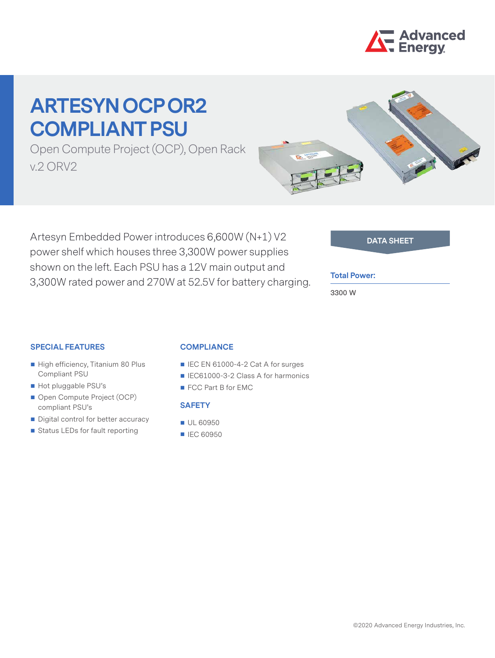

# **ARTESYN OCP OR2 COMPLIANT PSU**

Open Compute Project (OCP), Open Rack v.2 ORV2



Artesyn Embedded Power introduces 6,600W (N+1) V2 **DATA SHEET** power shelf which houses three 3,300W power supplies shown on the left. Each PSU has a 12V main output and 3,300W rated power and 270W at 52.5V for battery charging.

### **Total Power:**

**3300 W**

### **SPECIAL FEATURES**

- High efficiency, Titanium 80 Plus Compliant PSU
- Hot pluggable PSU's
- Open Compute Project (OCP) compliant PSU's
- Digital control for better accuracy
- Status LEDs for fault reporting

### **COMPLIANCE**

- IEC EN 61000-4-2 Cat A for surges
- IEC61000-3-2 Class A for harmonics
- FCC Part B for EMC

### **SAFETY**

- UL 60950
- IEC 60950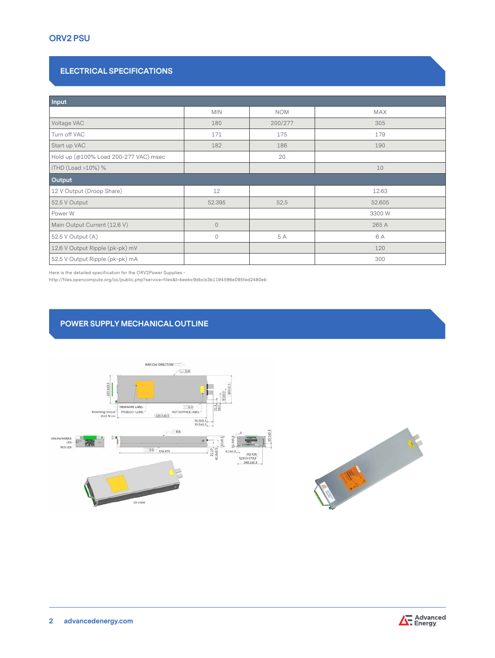# **ORV2 PSU**

# **ELECTRICAL SPECIFICATIONS**

| Input                                 |                |            |        |  |  |  |  |
|---------------------------------------|----------------|------------|--------|--|--|--|--|
|                                       | <b>MIN</b>     | <b>NOM</b> | MAX    |  |  |  |  |
| Voltage VAC                           | 180            | 200/277    | 305    |  |  |  |  |
| Turn off VAC                          | 171            | 175        | 179    |  |  |  |  |
| Start up VAC                          | 182            | 186        | 190    |  |  |  |  |
| Hold up (@100% Load 200-277 VAC) msec |                | 20         |        |  |  |  |  |
| iTHD (Load >10%) %                    |                |            | 10     |  |  |  |  |
| Output                                |                |            |        |  |  |  |  |
| 12 V Output (Droop Share)             | 12             |            | 12.63  |  |  |  |  |
| 52.5 V Output                         | 52.395         | 52.5       | 52.605 |  |  |  |  |
| Power W                               |                |            | 3300 W |  |  |  |  |
| Main Output Current (12.6 V)          | $\overline{0}$ |            | 265 A  |  |  |  |  |
| 52.5 V Output (A)                     | $\mathbf 0$    | 5 A        | 6 A    |  |  |  |  |
| 12.6 V Output Ripple (pk-pk) mV       |                |            | 120    |  |  |  |  |
| 52.5 V Output Ripple (pk-pk) mA       |                |            | 300    |  |  |  |  |

Here is the detailed specification for the ORV2Power Supplies -

http://files.opencompute.org/oc/public.php?service=files&t=beebc9dbcb3b1194596e095fed2480eb

# **POWER SUPPLY MECHANICAL OUTLINE**





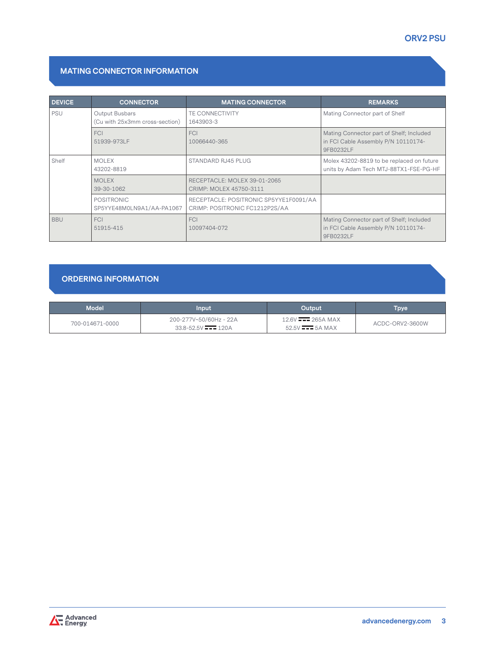# **MATING CONNECTOR INFORMATION**

| <b>DEVICE</b> | <b>CONNECTOR</b>                                 | <b>MATING CONNECTOR</b>                                                  | <b>REMARKS</b>                                                                               |
|---------------|--------------------------------------------------|--------------------------------------------------------------------------|----------------------------------------------------------------------------------------------|
| <b>PSU</b>    | Output Busbars<br>(Cu with 25x3mm cross-section) | TE CONNECTIVITY<br>1643903-3                                             | Mating Connector part of Shelf                                                               |
|               | <b>FCI</b><br>51939-973LF                        | <b>FCI</b><br>10066440-365                                               | Mating Connector part of Shelf; Included<br>in FCI Cable Assembly P/N 10110174-<br>9FB0232LF |
| Shelf         | <b>MOLEX</b><br>43202-8819                       | STANDARD RJ45 PLUG                                                       | Molex 43202-8819 to be replaced on future<br>units by Adam Tech MTJ-88TX1-FSE-PG-HF          |
|               | <b>MOLEX</b><br>39-30-1062                       | RECEPTACLE: MOLEX 39-01-2065<br>CRIMP: MOLEX 45750-3111                  |                                                                                              |
|               | <b>POSITRONIC</b><br>SP5YYE48M0LN9A1/AA-PA1067   | RECEPTACLE: POSITRONIC SP5YYE1F0091/AA<br>CRIMP: POSITRONIC FC1212P2S/AA |                                                                                              |
| <b>BBU</b>    | <b>FCI</b><br>51915-415                          | <b>FCI</b><br>10097404-072                                               | Mating Connector part of Shelf; Included<br>in FCI Cable Assembly P/N 10110174-<br>9FB0232LF |

# **ORDERING INFORMATION**

| <b>Model</b>    | Input                                                          | Output                                                               | Груе            |
|-----------------|----------------------------------------------------------------|----------------------------------------------------------------------|-----------------|
| 700-014671-0000 | 200-277V~50/60Hz - 22A<br>$33.8 - 52.5V$ $\overline{---}$ 120A | $12.6V$ $\frac{1}{200}$ 265A MAX<br>$52.5V$ $\longrightarrow 5A$ MAX | ACDC-ORV2-3600W |